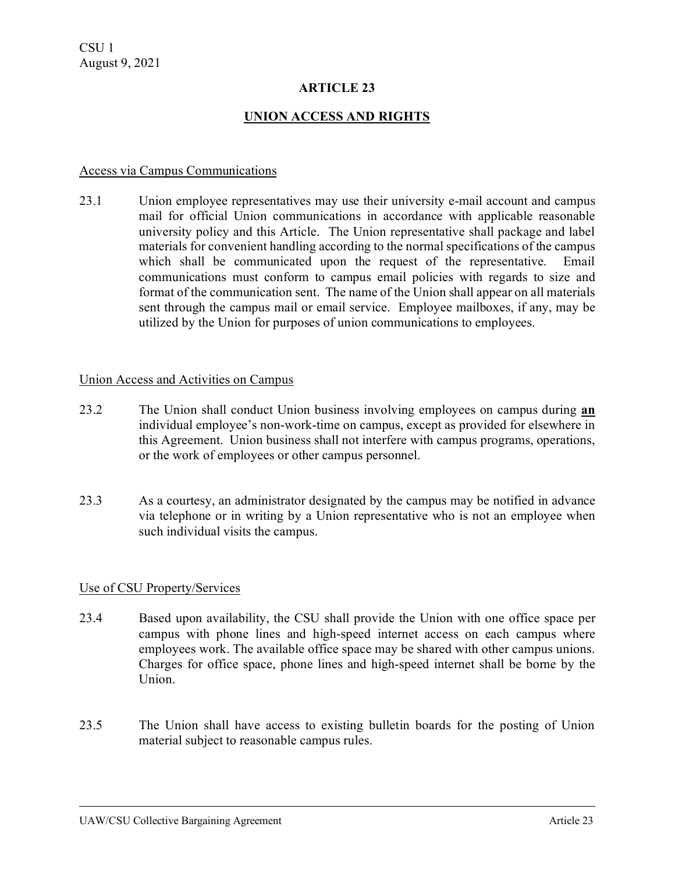## **ARTICLE 23**

## **UNION ACCESS AND RIGHTS**

#### Access via Campus Communications

23.1 Union employee representatives may use their university e-mail account and campus mail for official Union communications in accordance with applicable reasonable university policy and this Article. The Union representative shall package and label materials for convenient handling according to the normal specifications of the campus which shall be communicated upon the request of the representative. Email communications must conform to campus email policies with regards to size and format of the communication sent. The name of the Union shall appear on all materials sent through the campus mail or email service. Employee mailboxes, if any, may be utilized by the Union for purposes of union communications to employees.

## Union Access and Activities on Campus

- 23.2 The Union shall conduct Union business involving employees on campus during **an** individual employee's non-work-time on campus, except as provided for elsewhere in this Agreement. Union business shall not interfere with campus programs, operations, or the work of employees or other campus personnel.
- 23.3 As a courtesy, an administrator designated by the campus may be notified in advance via telephone or in writing by a Union representative who is not an employee when such individual visits the campus.

## Use of CSU Property/Services

- 23.4 Based upon availability, the CSU shall provide the Union with one office space per campus with phone lines and high-speed internet access on each campus where employees work. The available office space may be shared with other campus unions. Charges for office space, phone lines and high-speed internet shall be borne by the Union.
- 23.5 The Union shall have access to existing bulletin boards for the posting of Union material subject to reasonable campus rules.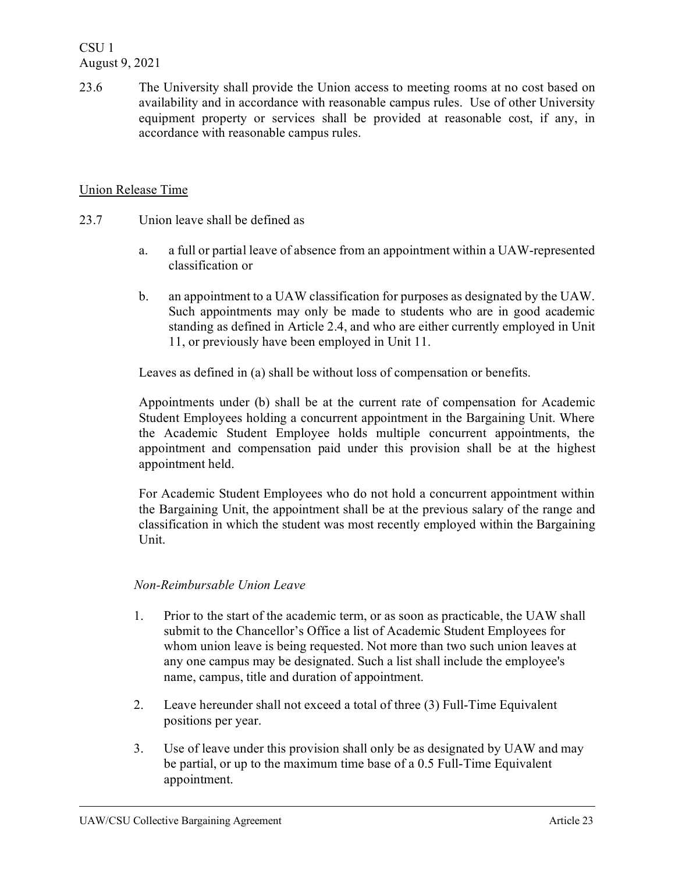23.6 The University shall provide the Union access to meeting rooms at no cost based on availability and in accordance with reasonable campus rules. Use of other University equipment property or services shall be provided at reasonable cost, if any, in accordance with reasonable campus rules.

## Union Release Time

- 23.7 Union leave shall be defined as
	- a. a full or partial leave of absence from an appointment within a UAW-represented classification or
	- b. an appointment to a UAW classification for purposes as designated by the UAW. Such appointments may only be made to students who are in good academic standing as defined in Article 2.4, and who are either currently employed in Unit 11, or previously have been employed in Unit 11.

Leaves as defined in (a) shall be without loss of compensation or benefits.

Appointments under (b) shall be at the current rate of compensation for Academic Student Employees holding a concurrent appointment in the Bargaining Unit. Where the Academic Student Employee holds multiple concurrent appointments, the appointment and compensation paid under this provision shall be at the highest appointment held.

For Academic Student Employees who do not hold a concurrent appointment within the Bargaining Unit, the appointment shall be at the previous salary of the range and classification in which the student was most recently employed within the Bargaining Unit.

## *Non-Reimbursable Union Leave*

- 1. Prior to the start of the academic term, or as soon as practicable, the UAW shall submit to the Chancellor's Office a list of Academic Student Employees for whom union leave is being requested. Not more than two such union leaves at any one campus may be designated. Such a list shall include the employee's name, campus, title and duration of appointment.
- 2. Leave hereunder shall not exceed a total of three (3) Full-Time Equivalent positions per year.
- 3. Use of leave under this provision shall only be as designated by UAW and may be partial, or up to the maximum time base of a 0.5 Full-Time Equivalent appointment.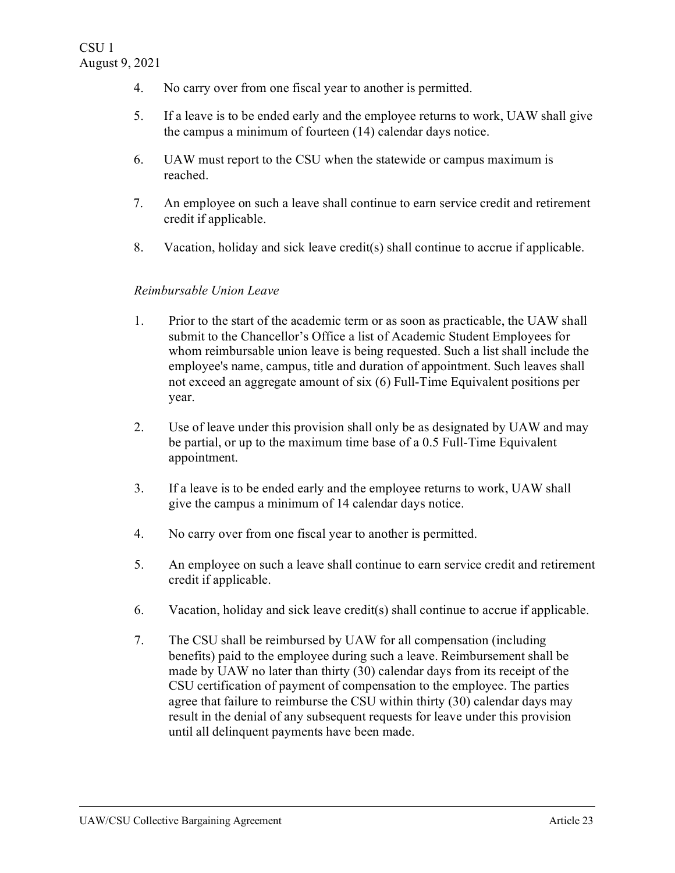- 4. No carry over from one fiscal year to another is permitted.
- 5. If a leave is to be ended early and the employee returns to work, UAW shall give the campus a minimum of fourteen (14) calendar days notice.
- 6. UAW must report to the CSU when the statewide or campus maximum is reached.
- 7. An employee on such a leave shall continue to earn service credit and retirement credit if applicable.
- 8. Vacation, holiday and sick leave credit(s) shall continue to accrue if applicable.

## *Reimbursable Union Leave*

- 1. Prior to the start of the academic term or as soon as practicable, the UAW shall submit to the Chancellor's Office a list of Academic Student Employees for whom reimbursable union leave is being requested. Such a list shall include the employee's name, campus, title and duration of appointment. Such leaves shall not exceed an aggregate amount of six (6) Full-Time Equivalent positions per year.
- 2. Use of leave under this provision shall only be as designated by UAW and may be partial, or up to the maximum time base of a 0.5 Full-Time Equivalent appointment.
- 3. If a leave is to be ended early and the employee returns to work, UAW shall give the campus a minimum of 14 calendar days notice.
- 4. No carry over from one fiscal year to another is permitted.
- 5. An employee on such a leave shall continue to earn service credit and retirement credit if applicable.
- 6. Vacation, holiday and sick leave credit(s) shall continue to accrue if applicable.
- 7. The CSU shall be reimbursed by UAW for all compensation (including benefits) paid to the employee during such a leave. Reimbursement shall be made by UAW no later than thirty (30) calendar days from its receipt of the CSU certification of payment of compensation to the employee. The parties agree that failure to reimburse the CSU within thirty (30) calendar days may result in the denial of any subsequent requests for leave under this provision until all delinquent payments have been made.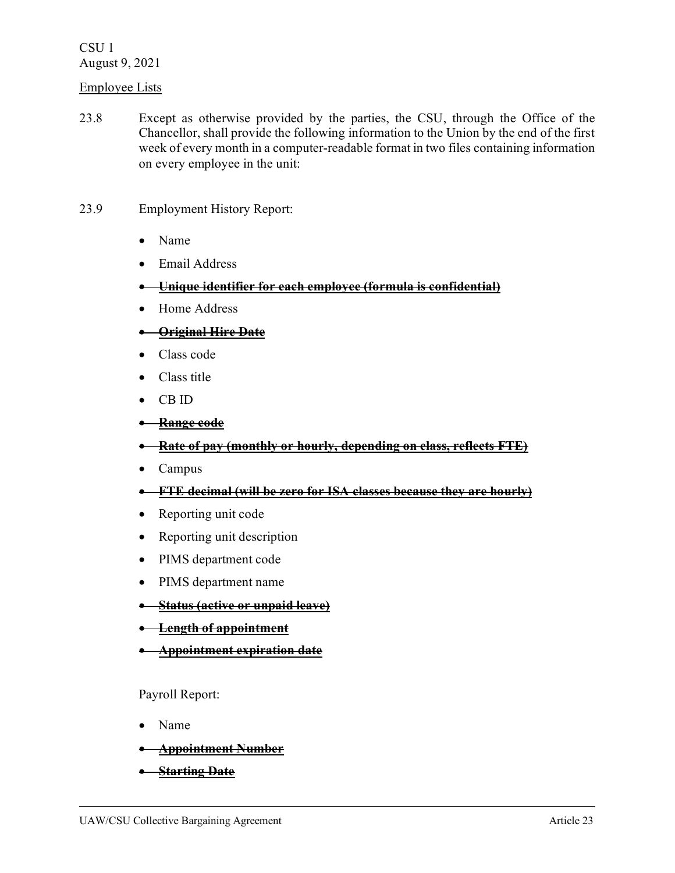## Employee Lists

- 23.8 Except as otherwise provided by the parties, the CSU, through the Office of the Chancellor, shall provide the following information to the Union by the end of the first week of every month in a computer-readable format in two files containing information on every employee in the unit:
- 23.9 Employment History Report:
	- Name
	- Email Address
	- **Unique identifier for each employee (formula is confidential)**
	- Home Address
	- **Original Hire Date**
	- Class code
	- Class title
	- CB ID
	- **Range code**
	- **Rate of pay (monthly or hourly, depending on class, reflects FTE)**
	- Campus
	- **FTE decimal (will be zero for ISA classes because they are hourly)**
	- Reporting unit code
	- Reporting unit description
	- PIMS department code
	- PIMS department name
	- **Status (active or unpaid leave)**
	- **Length of appointment**
	- **Appointment expiration date**

Payroll Report:

- Name
- **Appointment Number**
- **Starting Date**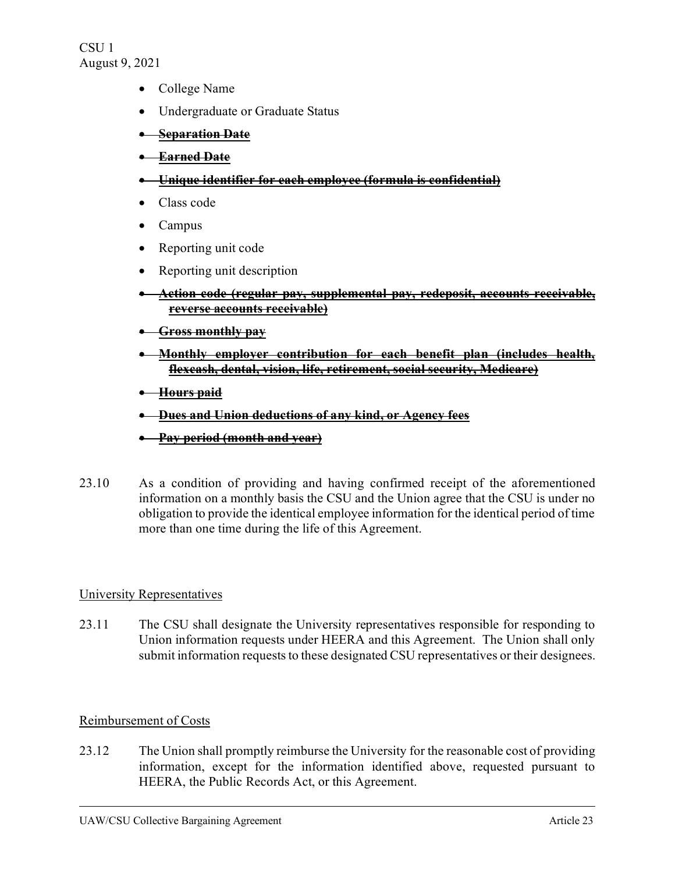- College Name
- Undergraduate or Graduate Status
- **Separation Date**
- **Earned Date**
- **Unique identifier for each employee (formula is confidential)**
- Class code
- Campus
- Reporting unit code
- Reporting unit description
- **Action code (regular pay, supplemental pay, redeposit, accounts receivable, reverse accounts receivable)**
- **Gross monthly pay**
- **Monthly employer contribution for each benefit plan (includes health, flexcash, dental, vision, life, retirement, social security, Medicare)**
- **Hours paid**
- **Dues and Union deductions of any kind, or Agency fees**
- **Pay period (month and year)**
- 23.10 As a condition of providing and having confirmed receipt of the aforementioned information on a monthly basis the CSU and the Union agree that the CSU is under no obligation to provide the identical employee information for the identical period of time more than one time during the life of this Agreement.

## University Representatives

23.11 The CSU shall designate the University representatives responsible for responding to Union information requests under HEERA and this Agreement. The Union shall only submit information requests to these designated CSU representatives or their designees.

## Reimbursement of Costs

23.12 The Union shall promptly reimburse the University for the reasonable cost of providing information, except for the information identified above, requested pursuant to HEERA, the Public Records Act, or this Agreement.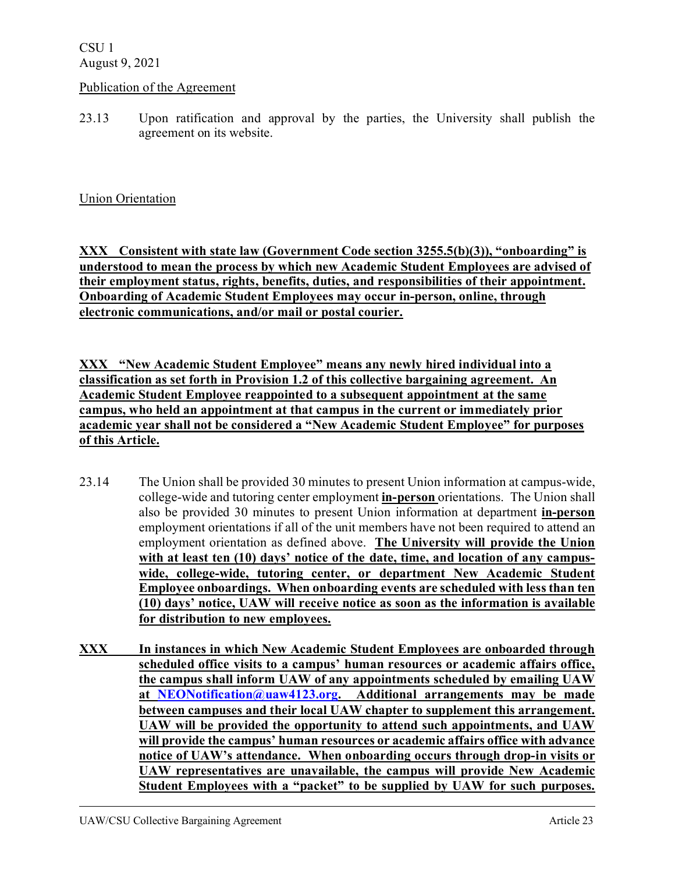## Publication of the Agreement

23.13 Upon ratification and approval by the parties, the University shall publish the agreement on its website.

## Union Orientation

**XXX Consistent with state law (Government Code section 3255.5(b)(3)), "onboarding" is understood to mean the process by which new Academic Student Employees are advised of their employment status, rights, benefits, duties, and responsibilities of their appointment. Onboarding of Academic Student Employees may occur in-person, online, through electronic communications, and/or mail or postal courier.**

**XXX "New Academic Student Employee" means any newly hired individual into a classification as set forth in Provision 1.2 of this collective bargaining agreement. An Academic Student Employee reappointed to a subsequent appointment at the same campus, who held an appointment at that campus in the current or immediately prior academic year shall not be considered a "New Academic Student Employee" for purposes of this Article.**

- 23.14 The Union shall be provided 30 minutes to present Union information at campus-wide, college-wide and tutoring center employment **in-person** orientations. The Union shall also be provided 30 minutes to present Union information at department **in-person**  employment orientations if all of the unit members have not been required to attend an employment orientation as defined above. **The University will provide the Union with at least ten (10) days' notice of the date, time, and location of any campuswide, college-wide, tutoring center, or department New Academic Student Employee onboardings. When onboarding events are scheduled with less than ten (10) days' notice, UAW will receive notice as soon as the information is available for distribution to new employees.**
- **XXX In instances in which New Academic Student Employees are onboarded through scheduled office visits to a campus' human resources or academic affairs office, the campus shall inform UAW of any appointments scheduled by emailing UAW at [NEONotification@uaw4123.org.](mailto:NEONotification@uaw4123.org) Additional arrangements may be made between campuses and their local UAW chapter to supplement this arrangement. UAW will be provided the opportunity to attend such appointments, and UAW will provide the campus' human resources or academic affairs office with advance notice of UAW's attendance. When onboarding occurs through drop-in visits or UAW representatives are unavailable, the campus will provide New Academic Student Employees with a "packet" to be supplied by UAW for such purposes.**